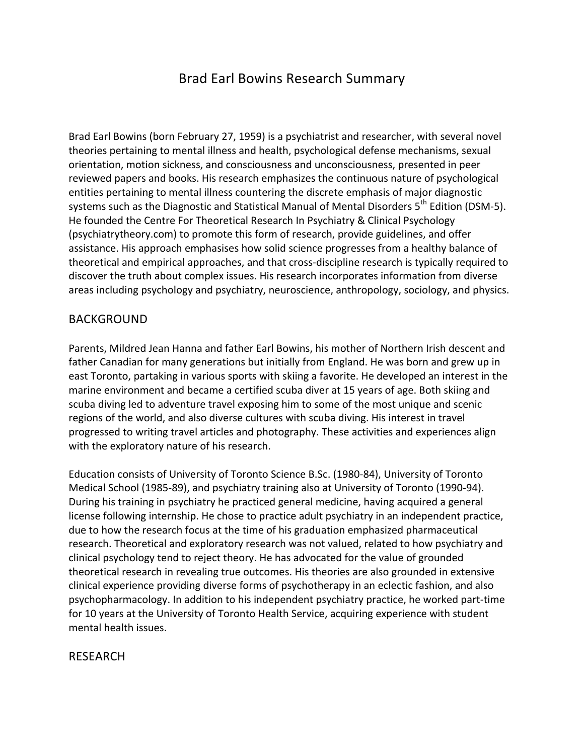# Brad Earl Bowins Research Summary

Brad Earl Bowins (born February 27, 1959) is a psychiatrist and researcher, with several novel theories pertaining to mental illness and health, psychological defense mechanisms, sexual orientation, motion sickness, and consciousness and unconsciousness, presented in peer reviewed papers and books. His research emphasizes the continuous nature of psychological entities pertaining to mental illness countering the discrete emphasis of major diagnostic systems such as the Diagnostic and Statistical Manual of Mental Disorders 5<sup>th</sup> Edition (DSM-5). He founded the Centre For Theoretical Research In Psychiatry & Clinical Psychology (psychiatrytheory.com) to promote this form of research, provide guidelines, and offer assistance. His approach emphasises how solid science progresses from a healthy balance of theoretical and empirical approaches, and that cross-discipline research is typically required to discover the truth about complex issues. His research incorporates information from diverse areas including psychology and psychiatry, neuroscience, anthropology, sociology, and physics.

### BACKGROUND

Parents, Mildred Jean Hanna and father Earl Bowins, his mother of Northern Irish descent and father Canadian for many generations but initially from England. He was born and grew up in east Toronto, partaking in various sports with skiing a favorite. He developed an interest in the marine environment and became a certified scuba diver at 15 years of age. Both skiing and scuba diving led to adventure travel exposing him to some of the most unique and scenic regions of the world, and also diverse cultures with scuba diving. His interest in travel progressed to writing travel articles and photography. These activities and experiences align with the exploratory nature of his research.

Education consists of University of Toronto Science B.Sc. (1980-84), University of Toronto Medical School (1985-89), and psychiatry training also at University of Toronto (1990-94). During his training in psychiatry he practiced general medicine, having acquired a general license following internship. He chose to practice adult psychiatry in an independent practice, due to how the research focus at the time of his graduation emphasized pharmaceutical research. Theoretical and exploratory research was not valued, related to how psychiatry and clinical psychology tend to reject theory. He has advocated for the value of grounded theoretical research in revealing true outcomes. His theories are also grounded in extensive clinical experience providing diverse forms of psychotherapy in an eclectic fashion, and also psychopharmacology. In addition to his independent psychiatry practice, he worked part-time for 10 years at the University of Toronto Health Service, acquiring experience with student mental health issues.

# RESEARCH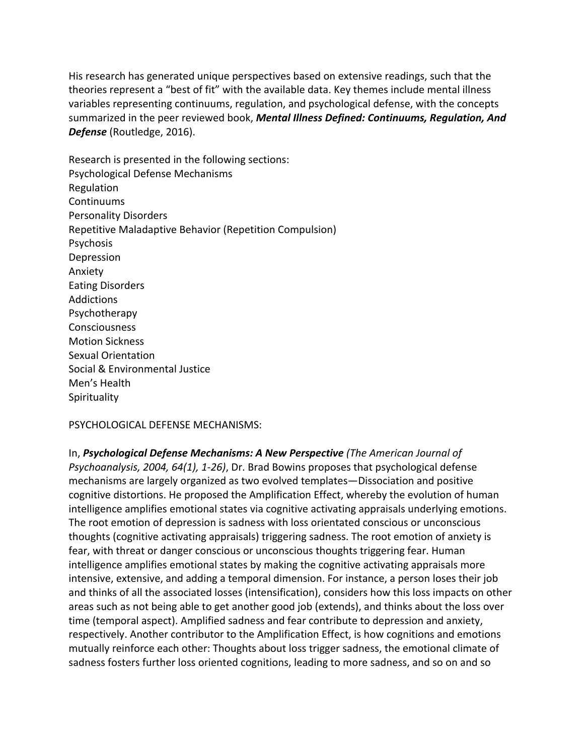His research has generated unique perspectives based on extensive readings, such that the theories represent a "best of fit" with the available data. Key themes include mental illness variables representing continuums, regulation, and psychological defense, with the concepts summarized in the peer reviewed book, **Mental Illness Defined: Continuums, Requlation, And Defense** (Routledge, 2016).

Research is presented in the following sections: Psychological Defense Mechanisms Regulation Continuums Personality Disorders Repetitive Maladaptive Behavior (Repetition Compulsion) Psychosis Depression Anxiety Eating Disorders Addictions Psychotherapy Consciousness **Motion Sickness** Sexual Orientation Social & Environmental Justice Men's Health **Spirituality** 

PSYCHOLOGICAL DEFENSE MECHANISMS:

In, Psychological Defense Mechanisms: A New Perspective *(The American Journal of Psychoanalysis, 2004, 64(1), 1-26)*, Dr. Brad Bowins proposes that psychological defense mechanisms are largely organized as two evolved templates—Dissociation and positive cognitive distortions. He proposed the Amplification Effect, whereby the evolution of human intelligence amplifies emotional states via cognitive activating appraisals underlying emotions. The root emotion of depression is sadness with loss orientated conscious or unconscious thoughts (cognitive activating appraisals) triggering sadness. The root emotion of anxiety is fear, with threat or danger conscious or unconscious thoughts triggering fear. Human intelligence amplifies emotional states by making the cognitive activating appraisals more intensive, extensive, and adding a temporal dimension. For instance, a person loses their job and thinks of all the associated losses (intensification), considers how this loss impacts on other areas such as not being able to get another good job (extends), and thinks about the loss over time (temporal aspect). Amplified sadness and fear contribute to depression and anxiety, respectively. Another contributor to the Amplification Effect, is how cognitions and emotions mutually reinforce each other: Thoughts about loss trigger sadness, the emotional climate of sadness fosters further loss oriented cognitions, leading to more sadness, and so on and so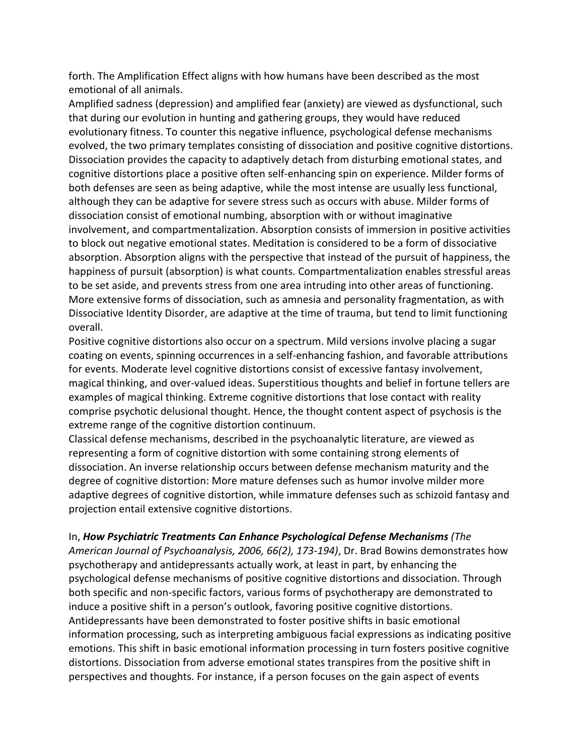forth. The Amplification Effect aligns with how humans have been described as the most emotional of all animals.

Amplified sadness (depression) and amplified fear (anxiety) are viewed as dysfunctional, such that during our evolution in hunting and gathering groups, they would have reduced evolutionary fitness. To counter this negative influence, psychological defense mechanisms evolved, the two primary templates consisting of dissociation and positive cognitive distortions. Dissociation provides the capacity to adaptively detach from disturbing emotional states, and cognitive distortions place a positive often self-enhancing spin on experience. Milder forms of both defenses are seen as being adaptive, while the most intense are usually less functional, although they can be adaptive for severe stress such as occurs with abuse. Milder forms of dissociation consist of emotional numbing, absorption with or without imaginative involvement, and compartmentalization. Absorption consists of immersion in positive activities to block out negative emotional states. Meditation is considered to be a form of dissociative absorption. Absorption aligns with the perspective that instead of the pursuit of happiness, the happiness of pursuit (absorption) is what counts. Compartmentalization enables stressful areas to be set aside, and prevents stress from one area intruding into other areas of functioning. More extensive forms of dissociation, such as amnesia and personality fragmentation, as with Dissociative Identity Disorder, are adaptive at the time of trauma, but tend to limit functioning overall.

Positive cognitive distortions also occur on a spectrum. Mild versions involve placing a sugar coating on events, spinning occurrences in a self-enhancing fashion, and favorable attributions for events. Moderate level cognitive distortions consist of excessive fantasy involvement, magical thinking, and over-valued ideas. Superstitious thoughts and belief in fortune tellers are examples of magical thinking. Extreme cognitive distortions that lose contact with reality comprise psychotic delusional thought. Hence, the thought content aspect of psychosis is the extreme range of the cognitive distortion continuum.

Classical defense mechanisms, described in the psychoanalytic literature, are viewed as representing a form of cognitive distortion with some containing strong elements of dissociation. An inverse relationship occurs between defense mechanism maturity and the degree of cognitive distortion: More mature defenses such as humor involve milder more adaptive degrees of cognitive distortion, while immature defenses such as schizoid fantasy and projection entail extensive cognitive distortions.

In, **How Psychiatric Treatments Can Enhance Psychological Defense Mechanisms** (The *American Journal of Psychoanalysis, 2006, 66(2), 173-194),* Dr. Brad Bowins demonstrates how psychotherapy and antidepressants actually work, at least in part, by enhancing the psychological defense mechanisms of positive cognitive distortions and dissociation. Through both specific and non-specific factors, various forms of psychotherapy are demonstrated to induce a positive shift in a person's outlook, favoring positive cognitive distortions. Antidepressants have been demonstrated to foster positive shifts in basic emotional information processing, such as interpreting ambiguous facial expressions as indicating positive emotions. This shift in basic emotional information processing in turn fosters positive cognitive distortions. Dissociation from adverse emotional states transpires from the positive shift in perspectives and thoughts. For instance, if a person focuses on the gain aspect of events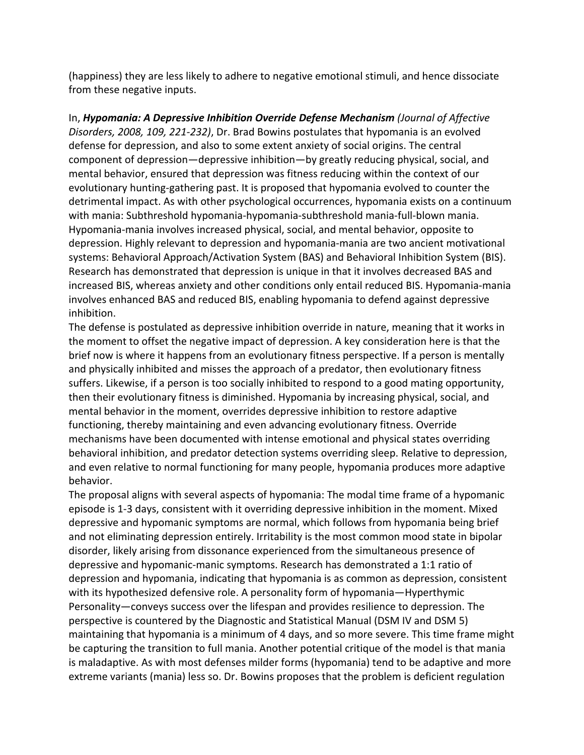(happiness) they are less likely to adhere to negative emotional stimuli, and hence dissociate from these negative inputs.

In, *Hypomania: A Depressive Inhibition Override Defense Mechanism (Journal of Affective Disorders, 2008, 109, 221-232)*, Dr. Brad Bowins postulates that hypomania is an evolved defense for depression, and also to some extent anxiety of social origins. The central component of depression—depressive inhibition—by greatly reducing physical, social, and mental behavior, ensured that depression was fitness reducing within the context of our evolutionary hunting-gathering past. It is proposed that hypomania evolved to counter the detrimental impact. As with other psychological occurrences, hypomania exists on a continuum with mania: Subthreshold hypomania-hypomania-subthreshold mania-full-blown mania. Hypomania-mania involves increased physical, social, and mental behavior, opposite to depression. Highly relevant to depression and hypomania-mania are two ancient motivational systems: Behavioral Approach/Activation System (BAS) and Behavioral Inhibition System (BIS). Research has demonstrated that depression is unique in that it involves decreased BAS and increased BIS, whereas anxiety and other conditions only entail reduced BIS. Hypomania-mania involves enhanced BAS and reduced BIS, enabling hypomania to defend against depressive inhibition.

The defense is postulated as depressive inhibition override in nature, meaning that it works in the moment to offset the negative impact of depression. A key consideration here is that the brief now is where it happens from an evolutionary fitness perspective. If a person is mentally and physically inhibited and misses the approach of a predator, then evolutionary fitness suffers. Likewise, if a person is too socially inhibited to respond to a good mating opportunity, then their evolutionary fitness is diminished. Hypomania by increasing physical, social, and mental behavior in the moment, overrides depressive inhibition to restore adaptive functioning, thereby maintaining and even advancing evolutionary fitness. Override mechanisms have been documented with intense emotional and physical states overriding behavioral inhibition, and predator detection systems overriding sleep. Relative to depression, and even relative to normal functioning for many people, hypomania produces more adaptive behavior.

The proposal aligns with several aspects of hypomania: The modal time frame of a hypomanic episode is 1-3 days, consistent with it overriding depressive inhibition in the moment. Mixed depressive and hypomanic symptoms are normal, which follows from hypomania being brief and not eliminating depression entirely. Irritability is the most common mood state in bipolar disorder, likely arising from dissonance experienced from the simultaneous presence of depressive and hypomanic-manic symptoms. Research has demonstrated a 1:1 ratio of depression and hypomania, indicating that hypomania is as common as depression, consistent with its hypothesized defensive role. A personality form of hypomania—Hyperthymic Personality—conveys success over the lifespan and provides resilience to depression. The perspective is countered by the Diagnostic and Statistical Manual (DSM IV and DSM 5) maintaining that hypomania is a minimum of 4 days, and so more severe. This time frame might be capturing the transition to full mania. Another potential critique of the model is that mania is maladaptive. As with most defenses milder forms (hypomania) tend to be adaptive and more extreme variants (mania) less so. Dr. Bowins proposes that the problem is deficient regulation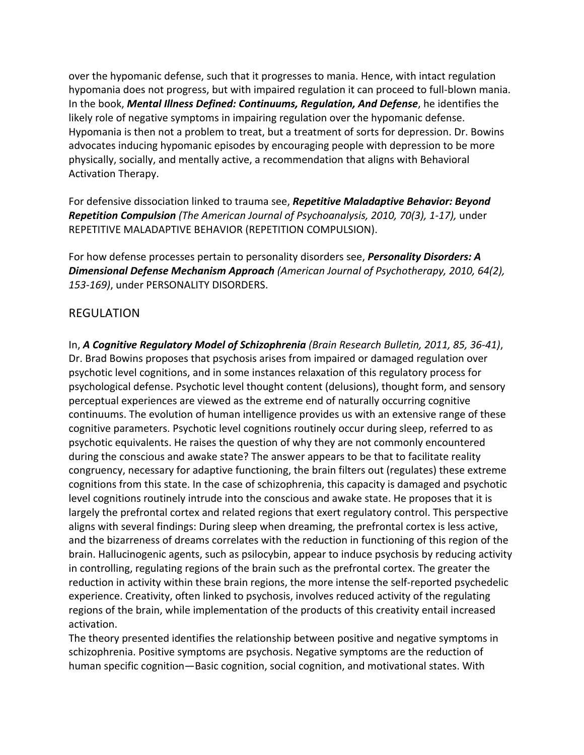over the hypomanic defense, such that it progresses to mania. Hence, with intact regulation hypomania does not progress, but with impaired regulation it can proceed to full-blown mania. In the book, *Mental Illness Defined: Continuums, Regulation, And Defense,* he identifies the likely role of negative symptoms in impairing regulation over the hypomanic defense. Hypomania is then not a problem to treat, but a treatment of sorts for depression. Dr. Bowins advocates inducing hypomanic episodes by encouraging people with depression to be more physically, socially, and mentally active, a recommendation that aligns with Behavioral Activation Therapy.

For defensive dissociation linked to trauma see, **Repetitive Maladaptive Behavior: Beyond** *Repetition Compulsion (The American Journal of Psychoanalysis, 2010, 70(3), 1-17), under* REPETITIVE MALADAPTIVE BEHAVIOR (REPETITION COMPULSION).

For how defense processes pertain to personality disorders see, *Personality Disorders: A* **Dimensional Defense Mechanism Approach** (American Journal of Psychotherapy, 2010, 64(2), 153-169), under PERSONALITY DISORDERS.

# REGULATION

In, *A* Cognitive Regulatory Model of Schizophrenia (Brain Research Bulletin, 2011, 85, 36-41), Dr. Brad Bowins proposes that psychosis arises from impaired or damaged regulation over psychotic level cognitions, and in some instances relaxation of this regulatory process for psychological defense. Psychotic level thought content (delusions), thought form, and sensory perceptual experiences are viewed as the extreme end of naturally occurring cognitive continuums. The evolution of human intelligence provides us with an extensive range of these cognitive parameters. Psychotic level cognitions routinely occur during sleep, referred to as psychotic equivalents. He raises the question of why they are not commonly encountered during the conscious and awake state? The answer appears to be that to facilitate reality congruency, necessary for adaptive functioning, the brain filters out (regulates) these extreme cognitions from this state. In the case of schizophrenia, this capacity is damaged and psychotic level cognitions routinely intrude into the conscious and awake state. He proposes that it is largely the prefrontal cortex and related regions that exert regulatory control. This perspective aligns with several findings: During sleep when dreaming, the prefrontal cortex is less active, and the bizarreness of dreams correlates with the reduction in functioning of this region of the brain. Hallucinogenic agents, such as psilocybin, appear to induce psychosis by reducing activity in controlling, regulating regions of the brain such as the prefrontal cortex. The greater the reduction in activity within these brain regions, the more intense the self-reported psychedelic experience. Creativity, often linked to psychosis, involves reduced activity of the regulating regions of the brain, while implementation of the products of this creativity entail increased activation.

The theory presented identifies the relationship between positive and negative symptoms in schizophrenia. Positive symptoms are psychosis. Negative symptoms are the reduction of human specific cognition—Basic cognition, social cognition, and motivational states. With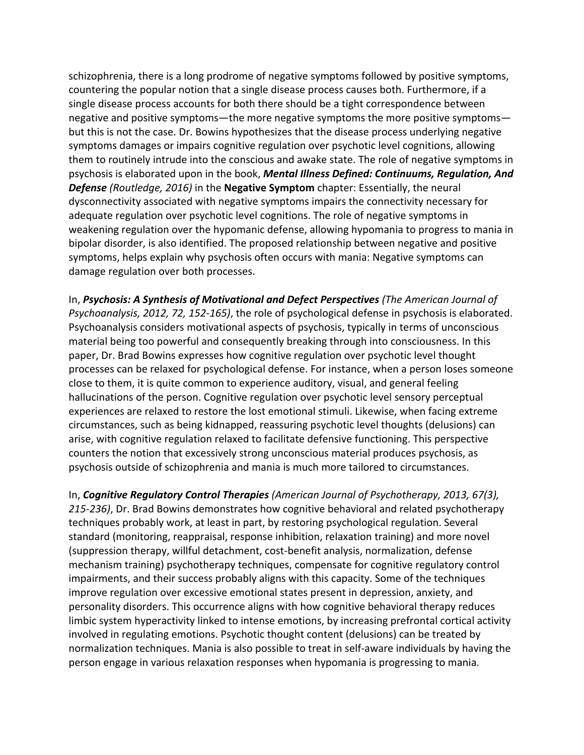schizophrenia, there is a long prodrome of negative symptoms followed by positive symptoms, countering the popular notion that a single disease process causes both. Furthermore, if a single disease process accounts for both there should be a tight correspondence between negative and positive symptoms—the more negative symptoms the more positive symptoms but this is not the case. Dr. Bowins hypothesizes that the disease process underlying negative symptoms damages or impairs cognitive regulation over psychotic level cognitions, allowing them to routinely intrude into the conscious and awake state. The role of negative symptoms in psychosis is elaborated upon in the book, *Mental Illness Defined: Continuums, Regulation, And* **Defense** (Routledge, 2016) in the **Negative Symptom** chapter: Essentially, the neural dysconnectivity associated with negative symptoms impairs the connectivity necessary for adequate regulation over psychotic level cognitions. The role of negative symptoms in weakening regulation over the hypomanic defense, allowing hypomania to progress to mania in bipolar disorder, is also identified. The proposed relationship between negative and positive symptoms, helps explain why psychosis often occurs with mania: Negative symptoms can damage regulation over both processes.

In, Psychosis: A Synthesis of Motivational and Defect Perspectives (The American Journal of *Psychoanalysis, 2012, 72, 152-165)*, the role of psychological defense in psychosis is elaborated. Psychoanalysis considers motivational aspects of psychosis, typically in terms of unconscious material being too powerful and consequently breaking through into consciousness. In this paper, Dr. Brad Bowins expresses how cognitive regulation over psychotic level thought processes can be relaxed for psychological defense. For instance, when a person loses someone close to them, it is quite common to experience auditory, visual, and general feeling hallucinations of the person. Cognitive regulation over psychotic level sensory perceptual experiences are relaxed to restore the lost emotional stimuli. Likewise, when facing extreme circumstances, such as being kidnapped, reassuring psychotic level thoughts (delusions) can arise, with cognitive regulation relaxed to facilitate defensive functioning. This perspective counters the notion that excessively strong unconscious material produces psychosis, as psychosis outside of schizophrenia and mania is much more tailored to circumstances.

In, *Cognitive Regulatory Control Therapies* (American Journal of Psychotherapy, 2013, 67(3), 215-236), Dr. Brad Bowins demonstrates how cognitive behavioral and related psychotherapy techniques probably work, at least in part, by restoring psychological regulation. Several standard (monitoring, reappraisal, response inhibition, relaxation training) and more novel (suppression therapy, willful detachment, cost-benefit analysis, normalization, defense mechanism training) psychotherapy techniques, compensate for cognitive regulatory control impairments, and their success probably aligns with this capacity. Some of the techniques improve regulation over excessive emotional states present in depression, anxiety, and personality disorders. This occurrence aligns with how cognitive behavioral therapy reduces limbic system hyperactivity linked to intense emotions, by increasing prefrontal cortical activity involved in regulating emotions. Psychotic thought content (delusions) can be treated by normalization techniques. Mania is also possible to treat in self-aware individuals by having the person engage in various relaxation responses when hypomania is progressing to mania.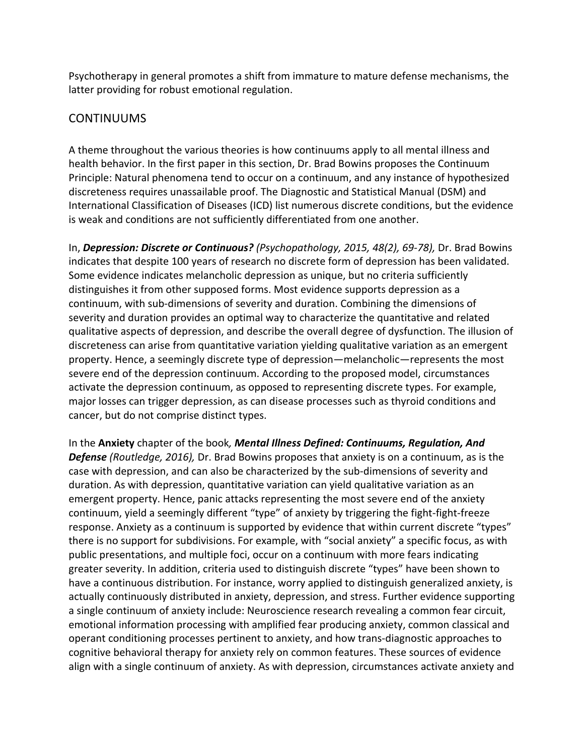Psychotherapy in general promotes a shift from immature to mature defense mechanisms, the latter providing for robust emotional regulation.

# CONTINUUMS

A theme throughout the various theories is how continuums apply to all mental illness and health behavior. In the first paper in this section, Dr. Brad Bowins proposes the Continuum Principle: Natural phenomena tend to occur on a continuum, and any instance of hypothesized discreteness requires unassailable proof. The Diagnostic and Statistical Manual (DSM) and International Classification of Diseases (ICD) list numerous discrete conditions, but the evidence is weak and conditions are not sufficiently differentiated from one another.

In, Depression: Discrete or Continuous? *(Psychopathology, 2015, 48(2), 69-78)*, Dr. Brad Bowins indicates that despite 100 years of research no discrete form of depression has been validated. Some evidence indicates melancholic depression as unique, but no criteria sufficiently distinguishes it from other supposed forms. Most evidence supports depression as a continuum, with sub-dimensions of severity and duration. Combining the dimensions of severity and duration provides an optimal way to characterize the quantitative and related qualitative aspects of depression, and describe the overall degree of dysfunction. The illusion of discreteness can arise from quantitative variation yielding qualitative variation as an emergent property. Hence, a seemingly discrete type of depression—melancholic—represents the most severe end of the depression continuum. According to the proposed model, circumstances activate the depression continuum, as opposed to representing discrete types. For example, major losses can trigger depression, as can disease processes such as thyroid conditions and cancer, but do not comprise distinct types.

In the Anxiety chapter of the book, *Mental Illness Defined: Continuums, Regulation, And* **Defense** *(Routledge, 2016),* Dr. Brad Bowins proposes that anxiety is on a continuum, as is the case with depression, and can also be characterized by the sub-dimensions of severity and duration. As with depression, quantitative variation can yield qualitative variation as an emergent property. Hence, panic attacks representing the most severe end of the anxiety continuum, yield a seemingly different "type" of anxiety by triggering the fight-fight-freeze response. Anxiety as a continuum is supported by evidence that within current discrete "types" there is no support for subdivisions. For example, with "social anxiety" a specific focus, as with public presentations, and multiple foci, occur on a continuum with more fears indicating greater severity. In addition, criteria used to distinguish discrete "types" have been shown to have a continuous distribution. For instance, worry applied to distinguish generalized anxiety, is actually continuously distributed in anxiety, depression, and stress. Further evidence supporting a single continuum of anxiety include: Neuroscience research revealing a common fear circuit, emotional information processing with amplified fear producing anxiety, common classical and operant conditioning processes pertinent to anxiety, and how trans-diagnostic approaches to cognitive behavioral therapy for anxiety rely on common features. These sources of evidence align with a single continuum of anxiety. As with depression, circumstances activate anxiety and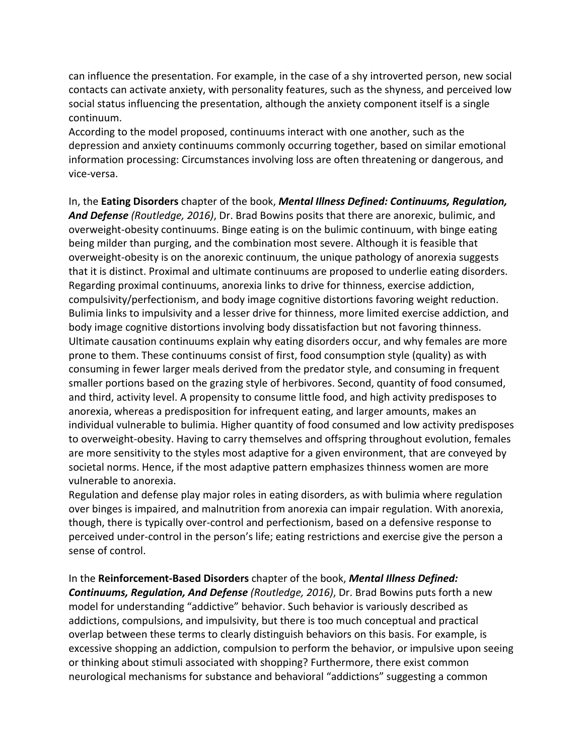can influence the presentation. For example, in the case of a shy introverted person, new social contacts can activate anxiety, with personality features, such as the shyness, and perceived low social status influencing the presentation, although the anxiety component itself is a single continuum.

According to the model proposed, continuums interact with one another, such as the depression and anxiety continuums commonly occurring together, based on similar emotional information processing: Circumstances involving loss are often threatening or dangerous, and vice-versa.

In, the Eating Disorders chapter of the book, *Mental Illness Defined: Continuums, Regulation,* **And Defense** *(Routledge, 2016)*, Dr. Brad Bowins posits that there are anorexic, bulimic, and overweight-obesity continuums. Binge eating is on the bulimic continuum, with binge eating being milder than purging, and the combination most severe. Although it is feasible that overweight-obesity is on the anorexic continuum, the unique pathology of anorexia suggests that it is distinct. Proximal and ultimate continuums are proposed to underlie eating disorders. Regarding proximal continuums, anorexia links to drive for thinness, exercise addiction, compulsivity/perfectionism, and body image cognitive distortions favoring weight reduction. Bulimia links to impulsivity and a lesser drive for thinness, more limited exercise addiction, and body image cognitive distortions involving body dissatisfaction but not favoring thinness. Ultimate causation continuums explain why eating disorders occur, and why females are more prone to them. These continuums consist of first, food consumption style (quality) as with consuming in fewer larger meals derived from the predator style, and consuming in frequent smaller portions based on the grazing style of herbivores. Second, quantity of food consumed, and third, activity level. A propensity to consume little food, and high activity predisposes to anorexia, whereas a predisposition for infrequent eating, and larger amounts, makes an individual vulnerable to bulimia. Higher quantity of food consumed and low activity predisposes to overweight-obesity. Having to carry themselves and offspring throughout evolution, females are more sensitivity to the styles most adaptive for a given environment, that are conveyed by societal norms. Hence, if the most adaptive pattern emphasizes thinness women are more vulnerable to anorexia.

Regulation and defense play major roles in eating disorders, as with bulimia where regulation over binges is impaired, and malnutrition from anorexia can impair regulation. With anorexia, though, there is typically over-control and perfectionism, based on a defensive response to perceived under-control in the person's life; eating restrictions and exercise give the person a sense of control.

#### In the **Reinforcement-Based Disorders** chapter of the book, *Mental Illness Defined:*

**Continuums, Regulation, And Defense** (Routledge, 2016), Dr. Brad Bowins puts forth a new model for understanding "addictive" behavior. Such behavior is variously described as addictions, compulsions, and impulsivity, but there is too much conceptual and practical overlap between these terms to clearly distinguish behaviors on this basis. For example, is excessive shopping an addiction, compulsion to perform the behavior, or impulsive upon seeing or thinking about stimuli associated with shopping? Furthermore, there exist common neurological mechanisms for substance and behavioral "addictions" suggesting a common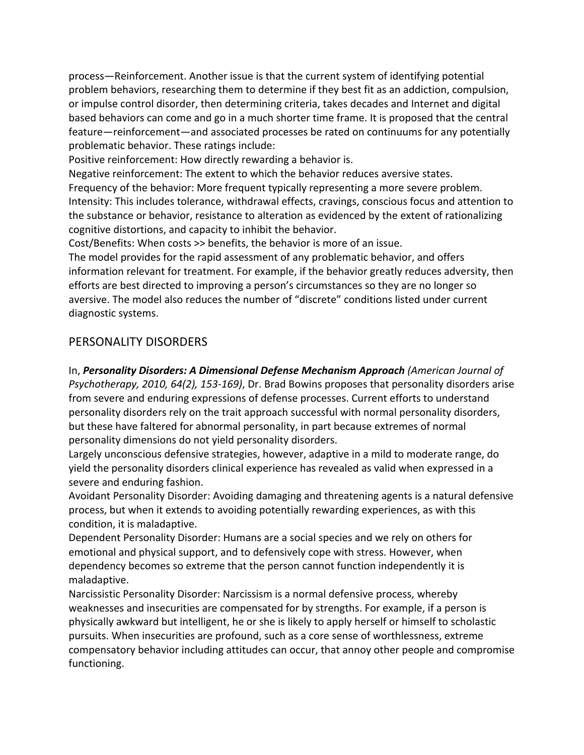process—Reinforcement. Another issue is that the current system of identifying potential problem behaviors, researching them to determine if they best fit as an addiction, compulsion, or impulse control disorder, then determining criteria, takes decades and Internet and digital based behaviors can come and go in a much shorter time frame. It is proposed that the central feature—reinforcement—and associated processes be rated on continuums for any potentially problematic behavior. These ratings include:

Positive reinforcement: How directly rewarding a behavior is.

Negative reinforcement: The extent to which the behavior reduces aversive states. Frequency of the behavior: More frequent typically representing a more severe problem. Intensity: This includes tolerance, withdrawal effects, cravings, conscious focus and attention to the substance or behavior, resistance to alteration as evidenced by the extent of rationalizing cognitive distortions, and capacity to inhibit the behavior.

Cost/Benefits: When costs >> benefits, the behavior is more of an issue.

The model provides for the rapid assessment of any problematic behavior, and offers information relevant for treatment. For example, if the behavior greatly reduces adversity, then efforts are best directed to improving a person's circumstances so they are no longer so aversive. The model also reduces the number of "discrete" conditions listed under current diagnostic systems.

# PERSONALITY DISORDERS

In, Personality Disorders: A Dimensional Defense Mechanism Approach *(American Journal of Psychotherapy, 2010, 64(2), 153-169)*, Dr. Brad Bowins proposes that personality disorders arise from severe and enduring expressions of defense processes. Current efforts to understand personality disorders rely on the trait approach successful with normal personality disorders, but these have faltered for abnormal personality, in part because extremes of normal personality dimensions do not yield personality disorders.

Largely unconscious defensive strategies, however, adaptive in a mild to moderate range, do yield the personality disorders clinical experience has revealed as valid when expressed in a severe and enduring fashion.

Avoidant Personality Disorder: Avoiding damaging and threatening agents is a natural defensive process, but when it extends to avoiding potentially rewarding experiences, as with this condition, it is maladaptive.

Dependent Personality Disorder: Humans are a social species and we rely on others for emotional and physical support, and to defensively cope with stress. However, when dependency becomes so extreme that the person cannot function independently it is maladaptive.

Narcissistic Personality Disorder: Narcissism is a normal defensive process, whereby weaknesses and insecurities are compensated for by strengths. For example, if a person is physically awkward but intelligent, he or she is likely to apply herself or himself to scholastic pursuits. When insecurities are profound, such as a core sense of worthlessness, extreme compensatory behavior including attitudes can occur, that annoy other people and compromise functioning.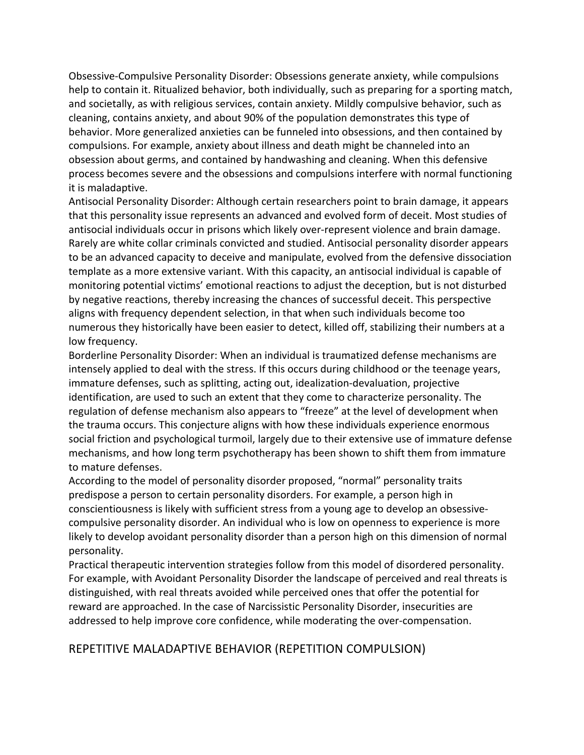Obsessive-Compulsive Personality Disorder: Obsessions generate anxiety, while compulsions help to contain it. Ritualized behavior, both individually, such as preparing for a sporting match, and societally, as with religious services, contain anxiety. Mildly compulsive behavior, such as cleaning, contains anxiety, and about 90% of the population demonstrates this type of behavior. More generalized anxieties can be funneled into obsessions, and then contained by compulsions. For example, anxiety about illness and death might be channeled into an obsession about germs, and contained by handwashing and cleaning. When this defensive process becomes severe and the obsessions and compulsions interfere with normal functioning it is maladaptive.

Antisocial Personality Disorder: Although certain researchers point to brain damage, it appears that this personality issue represents an advanced and evolved form of deceit. Most studies of antisocial individuals occur in prisons which likely over-represent violence and brain damage. Rarely are white collar criminals convicted and studied. Antisocial personality disorder appears to be an advanced capacity to deceive and manipulate, evolved from the defensive dissociation template as a more extensive variant. With this capacity, an antisocial individual is capable of monitoring potential victims' emotional reactions to adjust the deception, but is not disturbed by negative reactions, thereby increasing the chances of successful deceit. This perspective aligns with frequency dependent selection, in that when such individuals become too numerous they historically have been easier to detect, killed off, stabilizing their numbers at a low frequency.

Borderline Personality Disorder: When an individual is traumatized defense mechanisms are intensely applied to deal with the stress. If this occurs during childhood or the teenage years, immature defenses, such as splitting, acting out, idealization-devaluation, projective identification, are used to such an extent that they come to characterize personality. The regulation of defense mechanism also appears to "freeze" at the level of development when the trauma occurs. This conjecture aligns with how these individuals experience enormous social friction and psychological turmoil, largely due to their extensive use of immature defense mechanisms, and how long term psychotherapy has been shown to shift them from immature to mature defenses.

According to the model of personality disorder proposed, "normal" personality traits predispose a person to certain personality disorders. For example, a person high in conscientiousness is likely with sufficient stress from a young age to develop an obsessivecompulsive personality disorder. An individual who is low on openness to experience is more likely to develop avoidant personality disorder than a person high on this dimension of normal personality.

Practical therapeutic intervention strategies follow from this model of disordered personality. For example, with Avoidant Personality Disorder the landscape of perceived and real threats is distinguished, with real threats avoided while perceived ones that offer the potential for reward are approached. In the case of Narcissistic Personality Disorder, insecurities are addressed to help improve core confidence, while moderating the over-compensation.

#### REPETITIVE MALADAPTIVE BEHAVIOR (REPETITION COMPULSION)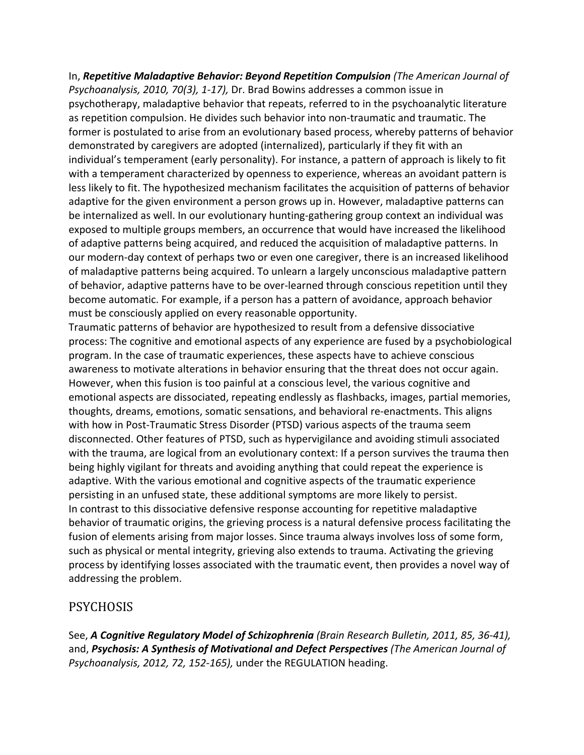In, Repetitive Maladaptive Behavior: Beyond Repetition Compulsion (The American Journal of *Psychoanalysis, 2010, 70(3), 1-17),* Dr. Brad Bowins addresses a common issue in psychotherapy, maladaptive behavior that repeats, referred to in the psychoanalytic literature as repetition compulsion. He divides such behavior into non-traumatic and traumatic. The former is postulated to arise from an evolutionary based process, whereby patterns of behavior demonstrated by caregivers are adopted (internalized), particularly if they fit with an individual's temperament (early personality). For instance, a pattern of approach is likely to fit with a temperament characterized by openness to experience, whereas an avoidant pattern is less likely to fit. The hypothesized mechanism facilitates the acquisition of patterns of behavior adaptive for the given environment a person grows up in. However, maladaptive patterns can be internalized as well. In our evolutionary hunting-gathering group context an individual was exposed to multiple groups members, an occurrence that would have increased the likelihood of adaptive patterns being acquired, and reduced the acquisition of maladaptive patterns. In our modern-day context of perhaps two or even one caregiver, there is an increased likelihood of maladaptive patterns being acquired. To unlearn a largely unconscious maladaptive pattern of behavior, adaptive patterns have to be over-learned through conscious repetition until they become automatic. For example, if a person has a pattern of avoidance, approach behavior must be consciously applied on every reasonable opportunity.

Traumatic patterns of behavior are hypothesized to result from a defensive dissociative process: The cognitive and emotional aspects of any experience are fused by a psychobiological program. In the case of traumatic experiences, these aspects have to achieve conscious awareness to motivate alterations in behavior ensuring that the threat does not occur again. However, when this fusion is too painful at a conscious level, the various cognitive and emotional aspects are dissociated, repeating endlessly as flashbacks, images, partial memories, thoughts, dreams, emotions, somatic sensations, and behavioral re-enactments. This aligns with how in Post-Traumatic Stress Disorder (PTSD) various aspects of the trauma seem disconnected. Other features of PTSD, such as hypervigilance and avoiding stimuli associated with the trauma, are logical from an evolutionary context: If a person survives the trauma then being highly vigilant for threats and avoiding anything that could repeat the experience is adaptive. With the various emotional and cognitive aspects of the traumatic experience persisting in an unfused state, these additional symptoms are more likely to persist. In contrast to this dissociative defensive response accounting for repetitive maladaptive behavior of traumatic origins, the grieving process is a natural defensive process facilitating the fusion of elements arising from major losses. Since trauma always involves loss of some form, such as physical or mental integrity, grieving also extends to trauma. Activating the grieving process by identifying losses associated with the traumatic event, then provides a novel way of addressing the problem.

# PSYCHOSIS

See, *A Cognitive Regulatory Model of Schizophrenia (Brain Research Bulletin, 2011, 85, 36-41)*, and, Psychosis: A Synthesis of Motivational and Defect Perspectives (The American Journal of *Psychoanalysis, 2012, 72, 152-165),* under the REGULATION heading.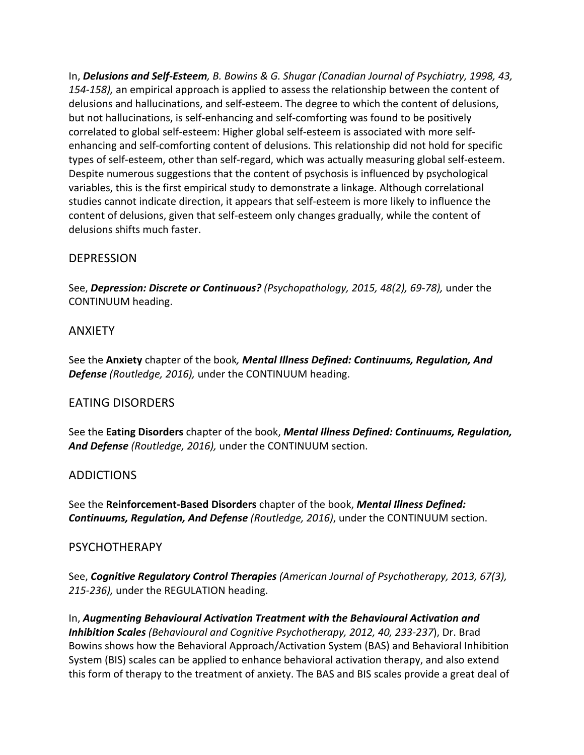In, **Delusions and Self-Esteem**, B. Bowins & G. Shugar (Canadian Journal of Psychiatry, 1998, 43, 154-158), an empirical approach is applied to assess the relationship between the content of delusions and hallucinations, and self-esteem. The degree to which the content of delusions, but not hallucinations, is self-enhancing and self-comforting was found to be positively correlated to global self-esteem: Higher global self-esteem is associated with more selfenhancing and self-comforting content of delusions. This relationship did not hold for specific types of self-esteem, other than self-regard, which was actually measuring global self-esteem. Despite numerous suggestions that the content of psychosis is influenced by psychological variables, this is the first empirical study to demonstrate a linkage. Although correlational studies cannot indicate direction, it appears that self-esteem is more likely to influence the content of delusions, given that self-esteem only changes gradually, while the content of delusions shifts much faster.

### **DEPRESSION**

See, Depression: Discrete or Continuous? (Psychopathology, 2015, 48(2), 69-78), under the CONTINUUM heading.

#### ANXIETY

See the Anxiety chapter of the book, *Mental Illness Defined: Continuums, Regulation, And* **Defense** (Routledge, 2016), under the CONTINUUM heading.

#### **FATING DISORDERS**

See the Eating Disorders chapter of the book, *Mental Illness Defined: Continuums, Regulation,* And Defense *(Routledge, 2016)*, under the CONTINUUM section.

#### ADDICTIONS

See the **Reinforcement-Based Disorders** chapter of the book, *Mental Illness Defined:* **Continuums, Regulation, And Defense** (Routledge, 2016), under the CONTINUUM section.

#### PSYCHOTHERAPY

See, *Cognitive Regulatory Control Therapies* (American Journal of Psychotherapy, 2013, 67(3), 215-236), under the REGULATION heading.

In, Augmenting Behavioural Activation Treatment with the Behavioural Activation and *Inhibition Scales (Behavioural and Cognitive Psychotherapy, 2012, 40, 233-237), Dr. Brad* Bowins shows how the Behavioral Approach/Activation System (BAS) and Behavioral Inhibition System (BIS) scales can be applied to enhance behavioral activation therapy, and also extend this form of therapy to the treatment of anxiety. The BAS and BIS scales provide a great deal of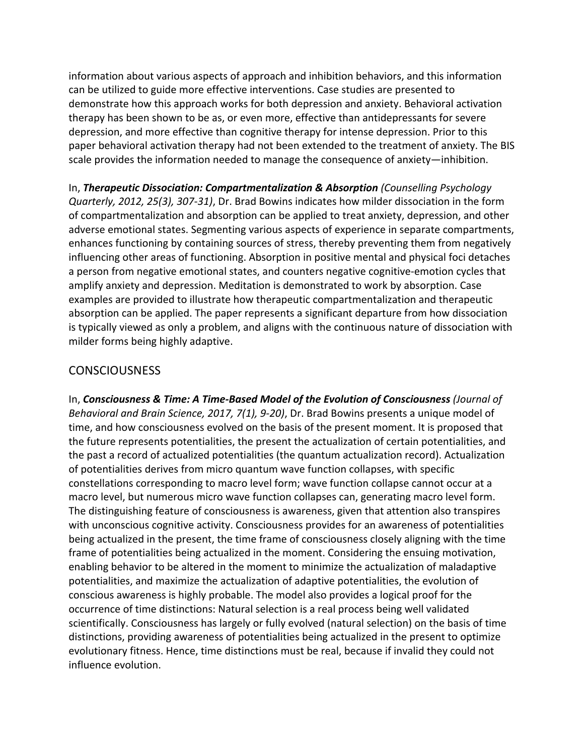information about various aspects of approach and inhibition behaviors, and this information can be utilized to guide more effective interventions. Case studies are presented to demonstrate how this approach works for both depression and anxiety. Behavioral activation therapy has been shown to be as, or even more, effective than antidepressants for severe depression, and more effective than cognitive therapy for intense depression. Prior to this paper behavioral activation therapy had not been extended to the treatment of anxiety. The BIS scale provides the information needed to manage the consequence of anxiety—inhibition.

In, **Therapeutic Dissociation: Compartmentalization & Absorption** (Counselling Psychology *Quarterly, 2012, 25(3), 307-31),* Dr. Brad Bowins indicates how milder dissociation in the form of compartmentalization and absorption can be applied to treat anxiety, depression, and other adverse emotional states. Segmenting various aspects of experience in separate compartments, enhances functioning by containing sources of stress, thereby preventing them from negatively influencing other areas of functioning. Absorption in positive mental and physical foci detaches a person from negative emotional states, and counters negative cognitive-emotion cycles that amplify anxiety and depression. Meditation is demonstrated to work by absorption. Case examples are provided to illustrate how therapeutic compartmentalization and therapeutic absorption can be applied. The paper represents a significant departure from how dissociation is typically viewed as only a problem, and aligns with the continuous nature of dissociation with milder forms being highly adaptive.

# CONSCIOUSNESS

In, Consciousness & Time: A Time-Based Model of the Evolution of Consciousness (Journal of *Behavioral and Brain Science, 2017, 7(1), 9-20), Dr. Brad Bowins presents a unique model of* time, and how consciousness evolved on the basis of the present moment. It is proposed that the future represents potentialities, the present the actualization of certain potentialities, and the past a record of actualized potentialities (the quantum actualization record). Actualization of potentialities derives from micro quantum wave function collapses, with specific constellations corresponding to macro level form; wave function collapse cannot occur at a macro level, but numerous micro wave function collapses can, generating macro level form. The distinguishing feature of consciousness is awareness, given that attention also transpires with unconscious cognitive activity. Consciousness provides for an awareness of potentialities being actualized in the present, the time frame of consciousness closely aligning with the time frame of potentialities being actualized in the moment. Considering the ensuing motivation, enabling behavior to be altered in the moment to minimize the actualization of maladaptive potentialities, and maximize the actualization of adaptive potentialities, the evolution of conscious awareness is highly probable. The model also provides a logical proof for the occurrence of time distinctions: Natural selection is a real process being well validated scientifically. Consciousness has largely or fully evolved (natural selection) on the basis of time distinctions, providing awareness of potentialities being actualized in the present to optimize evolutionary fitness. Hence, time distinctions must be real, because if invalid they could not influence evolution.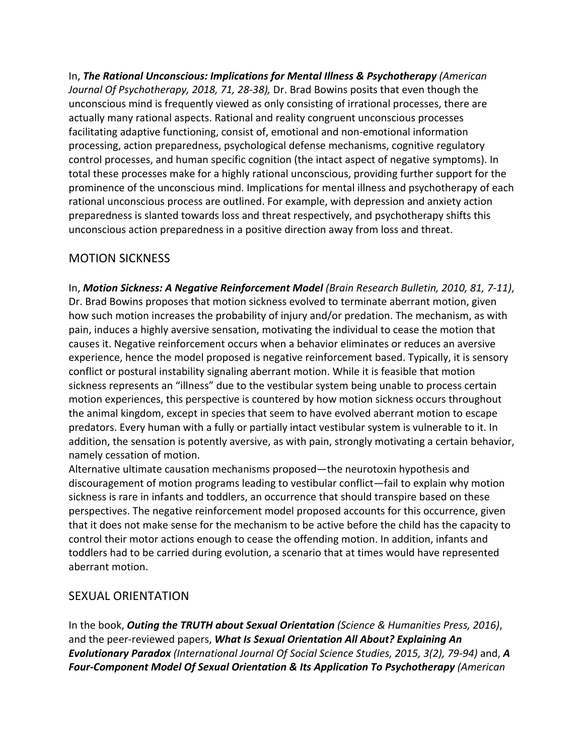In, **The Rational Unconscious: Implications for Mental Illness & Psychotherapy** (American *Journal Of Psychotherapy, 2018, 71, 28-38)*, Dr. Brad Bowins posits that even though the unconscious mind is frequently viewed as only consisting of irrational processes, there are actually many rational aspects. Rational and reality congruent unconscious processes facilitating adaptive functioning, consist of, emotional and non-emotional information processing, action preparedness, psychological defense mechanisms, cognitive regulatory control processes, and human specific cognition (the intact aspect of negative symptoms). In total these processes make for a highly rational unconscious, providing further support for the prominence of the unconscious mind. Implications for mental illness and psychotherapy of each rational unconscious process are outlined. For example, with depression and anxiety action preparedness is slanted towards loss and threat respectively, and psychotherapy shifts this unconscious action preparedness in a positive direction away from loss and threat.

# **MOTION SICKNESS**

In, Motion Sickness: A Negative Reinforcement Model (Brain Research Bulletin, 2010, 81, 7-11), Dr. Brad Bowins proposes that motion sickness evolved to terminate aberrant motion, given how such motion increases the probability of injury and/or predation. The mechanism, as with pain, induces a highly aversive sensation, motivating the individual to cease the motion that causes it. Negative reinforcement occurs when a behavior eliminates or reduces an aversive experience, hence the model proposed is negative reinforcement based. Typically, it is sensory conflict or postural instability signaling aberrant motion. While it is feasible that motion sickness represents an "illness" due to the vestibular system being unable to process certain motion experiences, this perspective is countered by how motion sickness occurs throughout the animal kingdom, except in species that seem to have evolved aberrant motion to escape predators. Every human with a fully or partially intact vestibular system is vulnerable to it. In addition, the sensation is potently aversive, as with pain, strongly motivating a certain behavior, namely cessation of motion.

Alternative ultimate causation mechanisms proposed—the neurotoxin hypothesis and discouragement of motion programs leading to vestibular conflict—fail to explain why motion sickness is rare in infants and toddlers, an occurrence that should transpire based on these perspectives. The negative reinforcement model proposed accounts for this occurrence, given that it does not make sense for the mechanism to be active before the child has the capacity to control their motor actions enough to cease the offending motion. In addition, infants and toddlers had to be carried during evolution, a scenario that at times would have represented aberrant motion.

# **SEXUAL ORIENTATION**

In the book, **Outing the TRUTH about Sexual Orientation** (Science & Humanities Press, 2016), and the peer-reviewed papers, *What Is Sexual Orientation All About? Explaining An Evolutionary Paradox (International Journal Of Social Science Studies, 2015, 3(2), 79-94)* **and, A Four-Component Model Of Sexual Orientation & Its Application To Psychotherapy** (American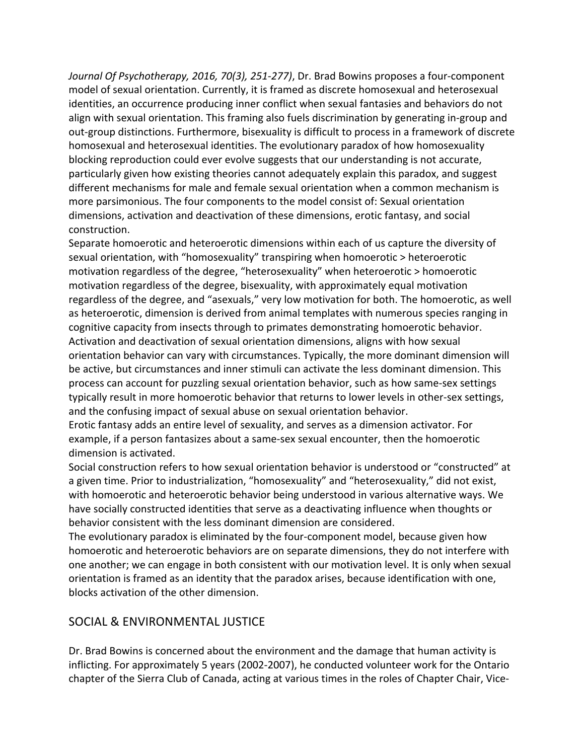*Journal Of Psychotherapy, 2016, 70(3), 251-277)*, Dr. Brad Bowins proposes a four-component model of sexual orientation. Currently, it is framed as discrete homosexual and heterosexual identities, an occurrence producing inner conflict when sexual fantasies and behaviors do not align with sexual orientation. This framing also fuels discrimination by generating in-group and out-group distinctions. Furthermore, bisexuality is difficult to process in a framework of discrete homosexual and heterosexual identities. The evolutionary paradox of how homosexuality blocking reproduction could ever evolve suggests that our understanding is not accurate, particularly given how existing theories cannot adequately explain this paradox, and suggest different mechanisms for male and female sexual orientation when a common mechanism is more parsimonious. The four components to the model consist of: Sexual orientation dimensions, activation and deactivation of these dimensions, erotic fantasy, and social construction.

Separate homoerotic and heteroerotic dimensions within each of us capture the diversity of sexual orientation, with "homosexuality" transpiring when homoerotic > heteroerotic motivation regardless of the degree, "heterosexuality" when heteroerotic > homoerotic motivation regardless of the degree, bisexuality, with approximately equal motivation regardless of the degree, and "asexuals," very low motivation for both. The homoerotic, as well as heteroerotic, dimension is derived from animal templates with numerous species ranging in cognitive capacity from insects through to primates demonstrating homoerotic behavior. Activation and deactivation of sexual orientation dimensions, aligns with how sexual orientation behavior can vary with circumstances. Typically, the more dominant dimension will be active, but circumstances and inner stimuli can activate the less dominant dimension. This process can account for puzzling sexual orientation behavior, such as how same-sex settings typically result in more homoerotic behavior that returns to lower levels in other-sex settings, and the confusing impact of sexual abuse on sexual orientation behavior.

Erotic fantasy adds an entire level of sexuality, and serves as a dimension activator. For example, if a person fantasizes about a same-sex sexual encounter, then the homoerotic dimension is activated.

Social construction refers to how sexual orientation behavior is understood or "constructed" at a given time. Prior to industrialization, "homosexuality" and "heterosexuality," did not exist, with homoerotic and heteroerotic behavior being understood in various alternative ways. We have socially constructed identities that serve as a deactivating influence when thoughts or behavior consistent with the less dominant dimension are considered.

The evolutionary paradox is eliminated by the four-component model, because given how homoerotic and heteroerotic behaviors are on separate dimensions, they do not interfere with one another; we can engage in both consistent with our motivation level. It is only when sexual orientation is framed as an identity that the paradox arises, because identification with one, blocks activation of the other dimension.

# SOCIAL & ENVIRONMENTAL JUSTICE

Dr. Brad Bowins is concerned about the environment and the damage that human activity is inflicting. For approximately 5 years (2002-2007), he conducted volunteer work for the Ontario chapter of the Sierra Club of Canada, acting at various times in the roles of Chapter Chair, Vice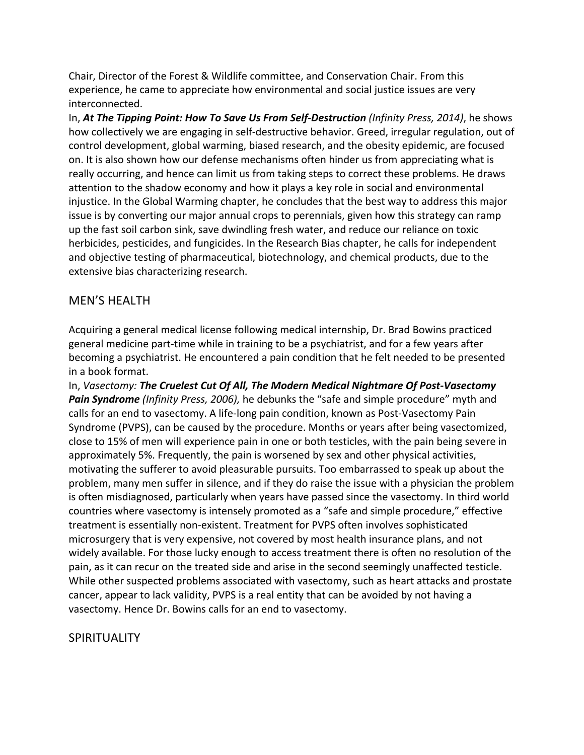Chair, Director of the Forest & Wildlife committee, and Conservation Chair. From this experience, he came to appreciate how environmental and social justice issues are very interconnected.

In, **At The Tipping Point: How To Save Us From Self-Destruction** (Infinity Press, 2014), he shows how collectively we are engaging in self-destructive behavior. Greed, irregular regulation, out of control development, global warming, biased research, and the obesity epidemic, are focused on. It is also shown how our defense mechanisms often hinder us from appreciating what is really occurring, and hence can limit us from taking steps to correct these problems. He draws attention to the shadow economy and how it plays a key role in social and environmental injustice. In the Global Warming chapter, he concludes that the best way to address this major issue is by converting our major annual crops to perennials, given how this strategy can ramp up the fast soil carbon sink, save dwindling fresh water, and reduce our reliance on toxic herbicides, pesticides, and fungicides. In the Research Bias chapter, he calls for independent and objective testing of pharmaceutical, biotechnology, and chemical products, due to the extensive bias characterizing research.

# **MEN'S HEALTH**

Acquiring a general medical license following medical internship, Dr. Brad Bowins practiced general medicine part-time while in training to be a psychiatrist, and for a few years after becoming a psychiatrist. He encountered a pain condition that he felt needed to be presented in a book format.

In, Vasectomy: The Cruelest Cut Of All, The Modern Medical Nightmare Of Post-Vasectomy **Pain Syndrome** (Infinity Press, 2006), he debunks the "safe and simple procedure" myth and calls for an end to vasectomy. A life-long pain condition, known as Post-Vasectomy Pain Syndrome (PVPS), can be caused by the procedure. Months or years after being vasectomized, close to 15% of men will experience pain in one or both testicles, with the pain being severe in approximately 5%. Frequently, the pain is worsened by sex and other physical activities, motivating the sufferer to avoid pleasurable pursuits. Too embarrassed to speak up about the problem, many men suffer in silence, and if they do raise the issue with a physician the problem is often misdiagnosed, particularly when years have passed since the vasectomy. In third world countries where vasectomy is intensely promoted as a "safe and simple procedure," effective treatment is essentially non-existent. Treatment for PVPS often involves sophisticated microsurgery that is very expensive, not covered by most health insurance plans, and not widely available. For those lucky enough to access treatment there is often no resolution of the pain, as it can recur on the treated side and arise in the second seemingly unaffected testicle. While other suspected problems associated with vasectomy, such as heart attacks and prostate cancer, appear to lack validity, PVPS is a real entity that can be avoided by not having a vasectomy. Hence Dr. Bowins calls for an end to vasectomy.

#### **SPIRITUALITY**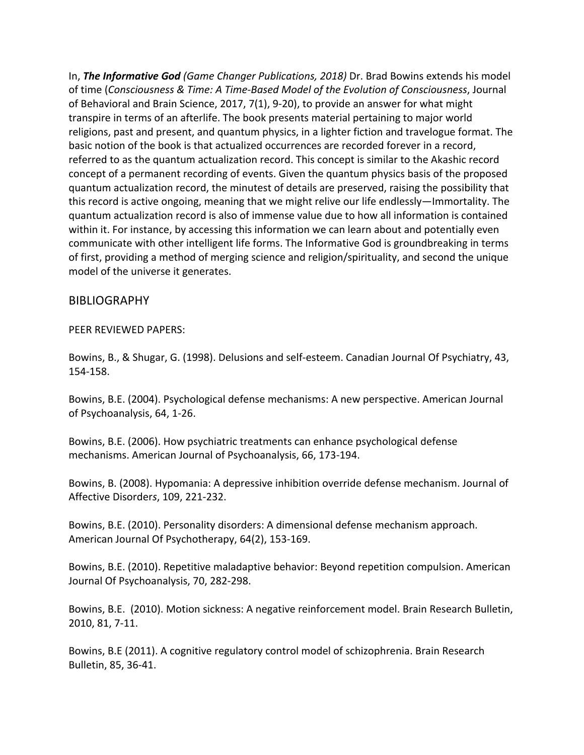In, **The Informative God** (Game Changer Publications, 2018) Dr. Brad Bowins extends his model of time (Consciousness & Time: A Time-Based Model of the Evolution of Consciousness, Journal of Behavioral and Brain Science, 2017, 7(1), 9-20), to provide an answer for what might transpire in terms of an afterlife. The book presents material pertaining to major world religions, past and present, and quantum physics, in a lighter fiction and travelogue format. The basic notion of the book is that actualized occurrences are recorded forever in a record, referred to as the quantum actualization record. This concept is similar to the Akashic record concept of a permanent recording of events. Given the quantum physics basis of the proposed quantum actualization record, the minutest of details are preserved, raising the possibility that this record is active ongoing, meaning that we might relive our life endlessly—Immortality. The quantum actualization record is also of immense value due to how all information is contained within it. For instance, by accessing this information we can learn about and potentially even communicate with other intelligent life forms. The Informative God is groundbreaking in terms of first, providing a method of merging science and religion/spirituality, and second the unique model of the universe it generates.

#### BIBLIOGRAPHY

#### PEER REVIEWED PAPERS:

Bowins, B., & Shugar, G. (1998). Delusions and self-esteem. Canadian Journal Of Psychiatry, 43, 154-158.

Bowins, B.E. (2004). Psychological defense mechanisms: A new perspective. American Journal of Psychoanalysis, 64, 1-26.

Bowins, B.E. (2006). How psychiatric treatments can enhance psychological defense mechanisms. American Journal of Psychoanalysis, 66, 173-194.

Bowins, B. (2008). Hypomania: A depressive inhibition override defense mechanism. Journal of Affective Disorders, 109, 221-232.

Bowins, B.E. (2010). Personality disorders: A dimensional defense mechanism approach. American Journal Of Psychotherapy, 64(2), 153-169.

Bowins, B.E. (2010). Repetitive maladaptive behavior: Beyond repetition compulsion. American Journal Of Psychoanalysis, 70, 282-298.

Bowins, B.E. (2010). Motion sickness: A negative reinforcement model. Brain Research Bulletin, 2010, 81, 7-11.

Bowins, B.E (2011). A cognitive regulatory control model of schizophrenia. Brain Research Bulletin, 85, 36-41.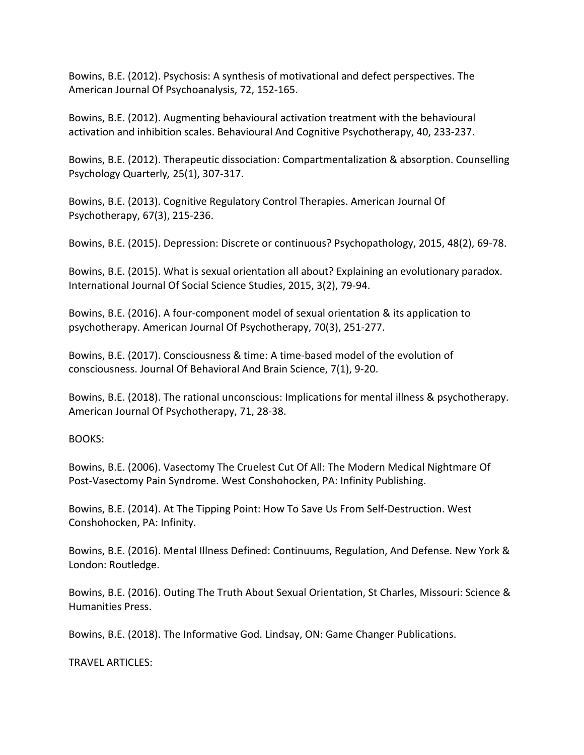Bowins, B.E. (2012). Psychosis: A synthesis of motivational and defect perspectives. The American Journal Of Psychoanalysis, 72, 152-165.

Bowins, B.E. (2012). Augmenting behavioural activation treatment with the behavioural activation and inhibition scales. Behavioural And Cognitive Psychotherapy, 40, 233-237.

Bowins, B.E. (2012). Therapeutic dissociation: Compartmentalization & absorption. Counselling Psychology Quarterly*,* 25(1), 307-317.

Bowins, B.E. (2013). Cognitive Regulatory Control Therapies. American Journal Of Psychotherapy, 67(3), 215-236.

Bowins, B.E. (2015). Depression: Discrete or continuous? Psychopathology, 2015, 48(2), 69-78.

Bowins, B.E. (2015). What is sexual orientation all about? Explaining an evolutionary paradox. International Journal Of Social Science Studies, 2015, 3(2), 79-94.

Bowins, B.E. (2016). A four-component model of sexual orientation & its application to psychotherapy. American Journal Of Psychotherapy, 70(3), 251-277.

Bowins, B.E. (2017). Consciousness & time: A time-based model of the evolution of consciousness. Journal Of Behavioral And Brain Science, 7(1), 9-20.

Bowins, B.E. (2018). The rational unconscious: Implications for mental illness & psychotherapy. American Journal Of Psychotherapy, 71, 28-38.

BOOKS:

Bowins, B.E. (2006). Vasectomy The Cruelest Cut Of All: The Modern Medical Nightmare Of Post-Vasectomy Pain Syndrome. West Conshohocken, PA: Infinity Publishing.

Bowins, B.E. (2014). At The Tipping Point: How To Save Us From Self-Destruction. West Conshohocken, PA: Infinity.

Bowins, B.E. (2016). Mental Illness Defined: Continuums, Regulation, And Defense. New York & London: Routledge.

Bowins, B.E. (2016). Outing The Truth About Sexual Orientation, St Charles, Missouri: Science & Humanities Press.

Bowins, B.E. (2018). The Informative God. Lindsay, ON: Game Changer Publications.

TRAVEL ARTICLES: